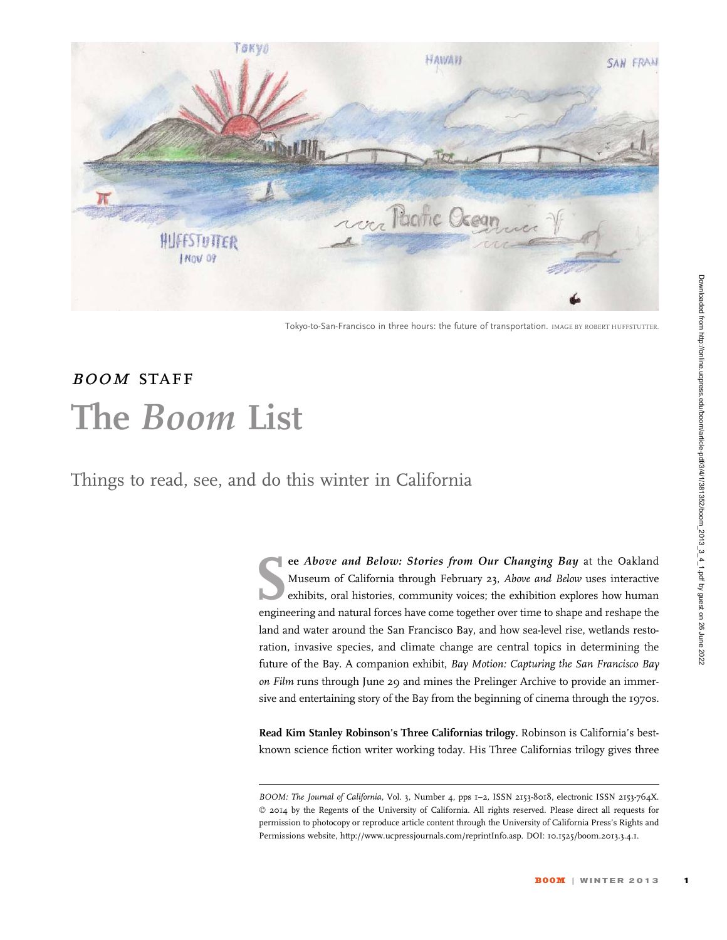

Tokyo-to-San-Francisco in three hours: the future of transportation. IMAGE BY ROBERT HUFFSTUTTER.

## BOOM STAFF The Boom List

Things to read, see, and do this winter in California

ee Above and Below: Stories from Our Changing Bay at the Oakland<br>Museum of California through February 23, Above and Below uses interactive<br>exhibits, oral histories, community voices; the exhibition explores how human<br>engi Museum of California through February 23, Above and Below uses interactive exhibits, oral histories, community voices; the exhibition explores how human engineering and natural forces have come together over time to shape and reshape the land and water around the San Francisco Bay, and how sea-level rise, wetlands restoration, invasive species, and climate change are central topics in determining the future of the Bay. A companion exhibit, Bay Motion: Capturing the San Francisco Bay on Film runs through June 29 and mines the Prelinger Archive to provide an immersive and entertaining story of the Bay from the beginning of cinema through the 1970s.

Read Kim Stanley Robinson's Three Californias trilogy. Robinson is California's bestknown science fiction writer working today. His Three Californias trilogy gives three

BOOM: The Journal of California, Vol. 3, Number 4, pps 1-2, ISSN 2153-8018, electronic ISSN 2153-764X. © 2014 by the Regents of the University of California. All rights reserved. Please direct all requests for permission to photocopy or reproduce article content through the University of California Press's Rights and Permissions website, http://www.ucpressjournals.com/reprintInfo.asp. DOI: 10.1525/boom.2013.3.4.1.